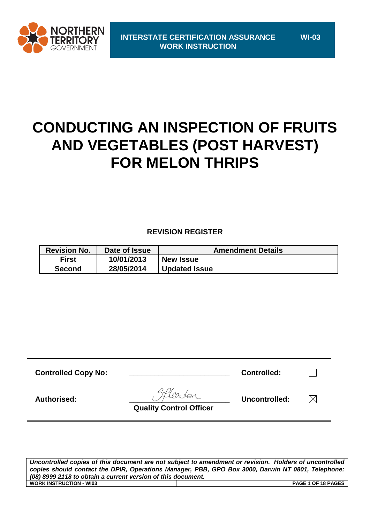

# **CONDUCTING AN INSPECTION OF FRUITS AND VEGETABLES (POST HARVEST) FOR MELON THRIPS**

## **REVISION REGISTER**

| <b>Revision No.</b> | Date of Issue | <b>Amendment Details</b> |
|---------------------|---------------|--------------------------|
| <b>First</b>        | 10/01/2013    | <b>New Issue</b>         |
| <b>Second</b>       | 28/05/2014    | <b>Updated Issue</b>     |

| <b>Controlled Copy No:</b> |                                | <b>Controlled:</b> |  |
|----------------------------|--------------------------------|--------------------|--|
| Authorised:                | <b>Quality Control Officer</b> | Uncontrolled:      |  |
|                            |                                |                    |  |

*Uncontrolled copies of this document are not subject to amendment or revision. Holders of uncontrolled copies should contact the DPIR, Operations Manager, PBB, GPO Box 3000, Darwin NT 0801, Telephone: (08) 8999 2118 to obtain a current version of this document.* **WORK INSTRUCTION - WI03 PAGE 1 OF 18 PAGES**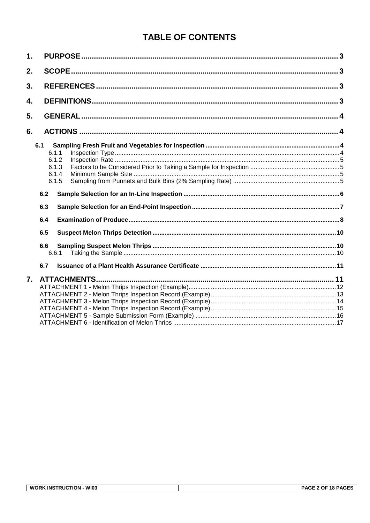# **TABLE OF CONTENTS**

| 1. |       |  |
|----|-------|--|
| 2. |       |  |
| 3. |       |  |
| 4. |       |  |
| 5. |       |  |
| 6. |       |  |
|    | 6.1   |  |
|    | 6.1.1 |  |
|    | 6.1.2 |  |
|    | 6.1.3 |  |
|    | 6.1.4 |  |
|    | 6.1.5 |  |
|    | 6.2   |  |
|    | 6.3   |  |
|    | 6.4   |  |
|    | 6.5   |  |
|    | 6.6   |  |
|    | 6.6.1 |  |
|    | 6.7   |  |
| 7. |       |  |
|    |       |  |
|    |       |  |
|    |       |  |
|    |       |  |
|    |       |  |
|    |       |  |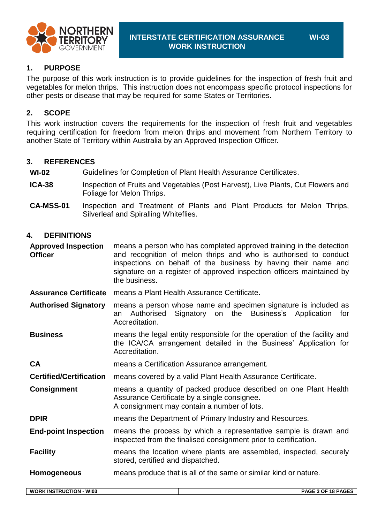

**WI-03**

**1. PURPOSE**

The purpose of this work instruction is to provide guidelines for the inspection of fresh fruit and vegetables for melon thrips. This instruction does not encompass specific protocol inspections for other pests or disease that may be required for some States or Territories.

#### **2. SCOPE**

This work instruction covers the requirements for the inspection of fresh fruit and vegetables requiring certification for freedom from melon thrips and movement from Northern Territory to another State of Territory within Australia by an Approved Inspection Officer*.*

#### **3. REFERENCES**

**WI-02** Guidelines for Completion of Plant Health Assurance Certificates.

- **ICA-38** Inspection of Fruits and Vegetables (Post Harvest), Live Plants, Cut Flowers and Foliage for Melon Thrips.
- **CA-MSS-01** Inspection and Treatment of Plants and Plant Products for Melon Thrips, Silverleaf and Spiralling Whiteflies.

#### **4. DEFINITIONS**

**Approved Inspection Officer** means a person who has completed approved training in the detection and recognition of melon thrips and who is authorised to conduct inspections on behalf of the business by having their name and signature on a register of approved inspection officers maintained by the business.

**Assurance Certificate** means a Plant Health Assurance Certificate.

**Authorised Signatory** means a person whose name and specimen signature is included as an Authorised Signatory on the Business's Application for Accreditation.

**Business** means the legal entity responsible for the operation of the facility and the ICA/CA arrangement detailed in the Business' Application for Accreditation.

**CA** means a Certification Assurance arrangement.

**Certified/Certification** means covered by a valid Plant Health Assurance Certificate.

**Consignment** means a quantity of packed produce described on one Plant Health Assurance Certificate by a single consignee. A consignment may contain a number of lots.

**DPIR** means the Department of Primary Industry and Resources.

**End-point Inspection** means the process by which a representative sample is drawn and inspected from the finalised consignment prior to certification.

**Facility** means the location where plants are assembled, inspected, securely stored, certified and dispatched.

**Homogeneous** means produce that is all of the same or similar kind or nature.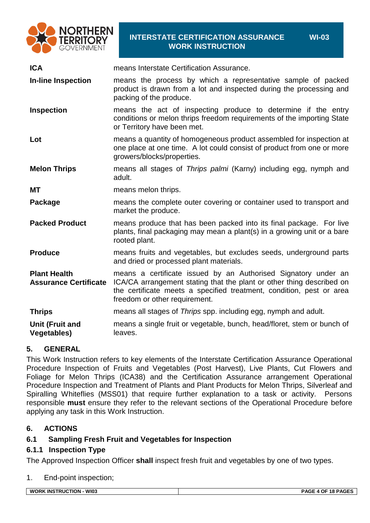

#### **INTERSTATE CERTIFICATION ASSURANCE WORK INSTRUCTION**

**WI-03**

| <b>ICA</b>                                          | means Interstate Certification Assurance.                                                                                                                                                                                                        |
|-----------------------------------------------------|--------------------------------------------------------------------------------------------------------------------------------------------------------------------------------------------------------------------------------------------------|
| <b>In-line Inspection</b>                           | means the process by which a representative sample of packed<br>product is drawn from a lot and inspected during the processing and<br>packing of the produce.                                                                                   |
| <b>Inspection</b>                                   | means the act of inspecting produce to determine if the entry<br>conditions or melon thrips freedom requirements of the importing State<br>or Territory have been met.                                                                           |
| Lot                                                 | means a quantity of homogeneous product assembled for inspection at<br>one place at one time. A lot could consist of product from one or more<br>growers/blocks/properties.                                                                      |
| <b>Melon Thrips</b>                                 | means all stages of Thrips palmi (Karny) including egg, nymph and<br>adult.                                                                                                                                                                      |
| <b>MT</b>                                           | means melon thrips.                                                                                                                                                                                                                              |
| Package                                             | means the complete outer covering or container used to transport and<br>market the produce.                                                                                                                                                      |
| <b>Packed Product</b>                               | means produce that has been packed into its final package. For live<br>plants, final packaging may mean a plant(s) in a growing unit or a bare<br>rooted plant.                                                                                  |
| <b>Produce</b>                                      | means fruits and vegetables, but excludes seeds, underground parts<br>and dried or processed plant materials.                                                                                                                                    |
| <b>Plant Health</b><br><b>Assurance Certificate</b> | means a certificate issued by an Authorised Signatory under an<br>ICA/CA arrangement stating that the plant or other thing described on<br>the certificate meets a specified treatment, condition, pest or area<br>freedom or other requirement. |
| <b>Thrips</b>                                       | means all stages of Thrips spp. including egg, nymph and adult.                                                                                                                                                                                  |
| <b>Unit (Fruit and</b><br><b>Vegetables)</b>        | means a single fruit or vegetable, bunch, head/floret, stem or bunch of<br>leaves.                                                                                                                                                               |

## **5. GENERAL**

This Work Instruction refers to key elements of the Interstate Certification Assurance Operational Procedure Inspection of Fruits and Vegetables (Post Harvest), Live Plants, Cut Flowers and Foliage for Melon Thrips (ICA38) and the Certification Assurance arrangement Operational Procedure Inspection and Treatment of Plants and Plant Products for Melon Thrips, Silverleaf and Spiralling Whiteflies (MSS01) that require further explanation to a task or activity. Persons responsible **must** ensure they refer to the relevant sections of the Operational Procedure before applying any task in this Work Instruction.

## **6. ACTIONS**

## **6.1 Sampling Fresh Fruit and Vegetables for Inspection**

#### <span id="page-3-0"></span>**6.1.1 Inspection Type**

The Approved Inspection Officer **shall** inspect fresh fruit and vegetables by one of two types.

#### 1. End-point inspection;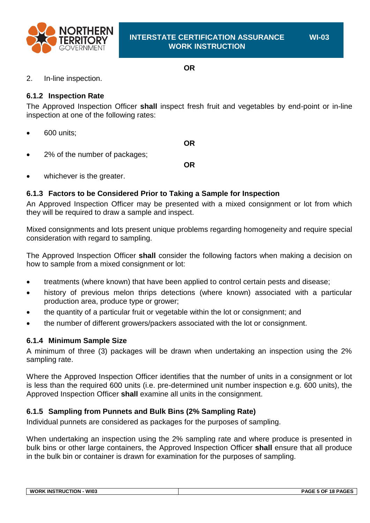

#### **OR**

#### 2. In-line inspection.

#### <span id="page-4-0"></span>**6.1.2 Inspection Rate**

The Approved Inspection Officer **shall** inspect fresh fruit and vegetables by end-point or in-line inspection at one of the following rates:

• 600 units;

**OR**

2% of the number of packages;

**OR**

whichever is the greater.

## **6.1.3 Factors to be Considered Prior to Taking a Sample for Inspection**

An Approved Inspection Officer may be presented with a mixed consignment or lot from which they will be required to draw a sample and inspect.

Mixed consignments and lots present unique problems regarding homogeneity and require special consideration with regard to sampling.

The Approved Inspection Officer **shall** consider the following factors when making a decision on how to sample from a mixed consignment or lot:

- treatments (where known) that have been applied to control certain pests and disease;
- history of previous melon thrips detections (where known) associated with a particular production area, produce type or grower;
- the quantity of a particular fruit or vegetable within the lot or consignment; and
- the number of different growers/packers associated with the lot or consignment.

#### **6.1.4 Minimum Sample Size**

A minimum of three (3) packages will be drawn when undertaking an inspection using the 2% sampling rate.

Where the Approved Inspection Officer identifies that the number of units in a consignment or lot is less than the required 600 units (i.e. pre-determined unit number inspection e.g. 600 units), the Approved Inspection Officer **shall** examine all units in the consignment.

## **6.1.5 Sampling from Punnets and Bulk Bins (2% Sampling Rate)**

Individual punnets are considered as packages for the purposes of sampling.

When undertaking an inspection using the 2% sampling rate and where produce is presented in bulk bins or other large containers, the Approved Inspection Officer **shall** ensure that all produce in the bulk bin or container is drawn for examination for the purposes of sampling.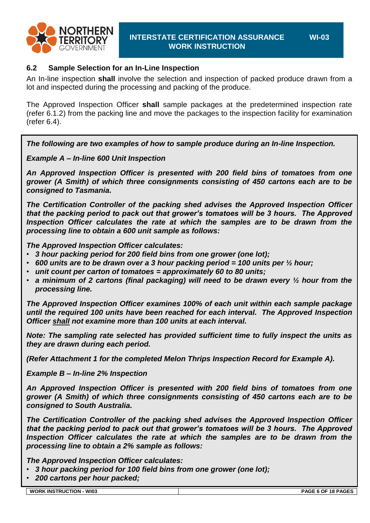

**WI-03**

#### **6.2 Sample Selection for an In-Line Inspection**

An In-line inspection **shall** involve the selection and inspection of packed produce drawn from a lot and inspected during the processing and packing of the produce.

The Approved Inspection Officer **shall** sample packages at the predetermined inspection rate [\(refer 6.1.2\)](#page-4-0) from the packing line and move the packages to the inspection facility for examination [\(refer 6.4\)](#page-7-0).

*The following are two examples of how to sample produce during an In-line Inspection.*

*Example A – In-line 600 Unit Inspection*

*An Approved Inspection Officer is presented with 200 field bins of tomatoes from one grower (A Smith) of which three consignments consisting of 450 cartons each are to be consigned to Tasmania.*

*The Certification Controller of the packing shed advises the Approved Inspection Officer that the packing period to pack out that grower's tomatoes will be 3 hours. The Approved Inspection Officer calculates the rate at which the samples are to be drawn from the processing line to obtain a 600 unit sample as follows:*

*The Approved Inspection Officer calculates:*

- *3 hour packing period for 200 field bins from one grower (one lot);*
- *600 units are to be drawn over a 3 hour packing period = 100 units per ½ hour;*
- *unit count per carton of tomatoes = approximately 60 to 80 units;*
- *a minimum of 2 cartons (final packaging) will need to be drawn every ½ hour from the processing line.*

*The Approved Inspection Officer examines 100% of each unit within each sample package until the required 100 units have been reached for each interval. The Approved Inspection Officer shall not examine more than 100 units at each interval.*

*Note: The sampling rate selected has provided sufficient time to fully inspect the units as they are drawn during each period.*

*(Refer Attachment 1 for the completed Melon Thrips Inspection Record for Example A).*

*Example B – In-line 2% Inspection*

*An Approved Inspection Officer is presented with 200 field bins of tomatoes from one grower (A Smith) of which three consignments consisting of 450 cartons each are to be consigned to South Australia.*

*The Certification Controller of the packing shed advises the Approved Inspection Officer that the packing period to pack out that grower's tomatoes will be 3 hours. The Approved Inspection Officer calculates the rate at which the samples are to be drawn from the processing line to obtain a 2% sample as follows:*

*The Approved Inspection Officer calculates:*

- *3 hour packing period for 100 field bins from one grower (one lot);*
- *200 cartons per hour packed;*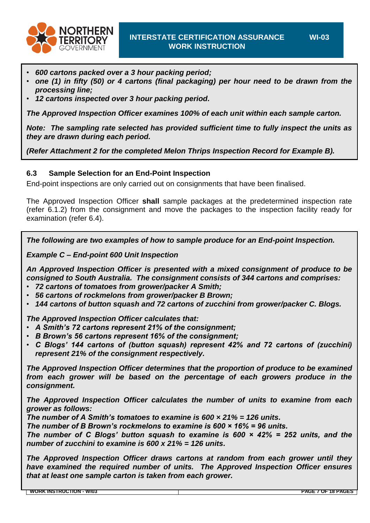

- *600 cartons packed over a 3 hour packing period;*
- *one (1) in fifty (50) or 4 cartons (final packaging) per hour need to be drawn from the processing line;*
- *12 cartons inspected over 3 hour packing period.*

*The Approved Inspection Officer examines 100% of each unit within each sample carton.*

*Note: The sampling rate selected has provided sufficient time to fully inspect the units as they are drawn during each period.*

*(Refer [Attachment 2](#page-12-0) for the completed Melon Thrips Inspection Record for Example B).*

#### **6.3 Sample Selection for an End-Point Inspection**

End-point inspections are only carried out on consignments that have been finalised.

The Approved Inspection Officer **shall** sample packages at the predetermined inspection rate [\(refer 6.1.2\)](#page-4-0) from the consignment and move the packages to the inspection facility ready for examination [\(refer 6.4\)](#page-7-0).

*The following are two examples of how to sample produce for an End-point Inspection.*

*Example C – End-point 600 Unit Inspection*

*An Approved Inspection Officer is presented with a mixed consignment of produce to be consigned to South Australia. The consignment consists of 344 cartons and comprises:*

- *72 cartons of tomatoes from grower/packer A Smith;*
- *56 cartons of rockmelons from grower/packer B Brown;*
- *144 cartons of button squash and 72 cartons of zucchini from grower/packer C. Blogs.*

*The Approved Inspection Officer calculates that:*

- *A Smith's 72 cartons represent 21% of the consignment;*
- *B Brown's 56 cartons represent 16% of the consignment;*
- *C Blogs' 144 cartons of (button squash) represent 42% and 72 cartons of (zucchini) represent 21% of the consignment respectively.*

*The Approved Inspection Officer determines that the proportion of produce to be examined from each grower will be based on the percentage of each growers produce in the consignment.*

*The Approved Inspection Officer calculates the number of units to examine from each grower as follows:*

*The number of A Smith's tomatoes to examine is 600 × 21% = 126 units.*

*The number of B Brown's rockmelons to examine is 600 × 16% = 96 units.*

*The number of C Blogs' button squash to examine is 600 × 42% = 252 units, and the number of zucchini to examine is 600 x 21% = 126 units.*

*The Approved Inspection Officer draws cartons at random from each grower until they have examined the required number of units. The Approved Inspection Officer ensures that at least one sample carton is taken from each grower.*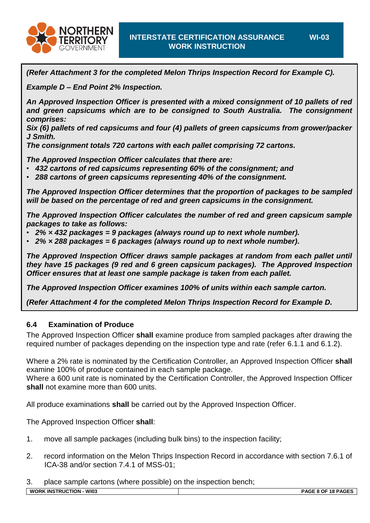

*(Refer [Attachment 3](#page-13-0) for the completed Melon Thrips Inspection Record for Example C).*

*Example D – End Point 2% Inspection.*

*An Approved Inspection Officer is presented with a mixed consignment of 10 pallets of red and green capsicums which are to be consigned to South Australia. The consignment comprises:*

*Six (6) pallets of red capsicums and four (4) pallets of green capsicums from grower/packer J Smith.*

*The consignment totals 720 cartons with each pallet comprising 72 cartons.*

*The Approved Inspection Officer calculates that there are:*

- *432 cartons of red capsicums representing 60% of the consignment; and*
- *288 cartons of green capsicums representing 40% of the consignment.*

*The Approved Inspection Officer determines that the proportion of packages to be sampled will be based on the percentage of red and green capsicums in the consignment.*

*The Approved Inspection Officer calculates the number of red and green capsicum sample packages to take as follows:*

- *2% × 432 packages = 9 packages (always round up to next whole number).*
- *2% × 288 packages = 6 packages (always round up to next whole number).*

*The Approved Inspection Officer draws sample packages at random from each pallet until they have 15 packages (9 red and 6 green capsicum packages). The Approved Inspection Officer ensures that at least one sample package is taken from each pallet.*

*The Approved Inspection Officer examines 100% of units within each sample carton.*

*(Refer [Attachment 4](#page-11-0) for the completed Melon Thrips Inspection Record for Example D.*

#### <span id="page-7-0"></span>**6.4 Examination of Produce**

The Approved Inspection Officer **shall** examine produce from sampled packages after drawing the required number of packages depending on the inspection type and rate (refer [6.1.1](#page-3-0) and [6.1.2\)](#page-4-0).

Where a 2% rate is nominated by the Certification Controller, an Approved Inspection Officer **shall** examine 100% of produce contained in each sample package.

Where a 600 unit rate is nominated by the Certification Controller, the Approved Inspection Officer **shall** not examine more than 600 units.

All produce examinations **shall** be carried out by the Approved Inspection Officer.

The Approved Inspection Officer **shall**:

- 1. move all sample packages (including bulk bins) to the inspection facility;
- 2. record information on the Melon Thrips Inspection Record in accordance with section 7.6.1 of ICA-38 and/or section 7.4.1 of MSS-01;

3. place sample cartons (where possible) on the inspection bench;

**WI-03**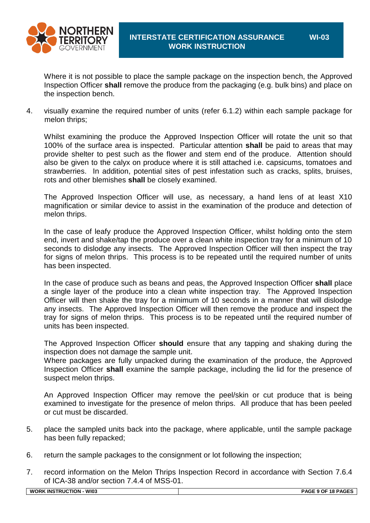

**WI-03**

Where it is not possible to place the sample package on the inspection bench, the Approved Inspection Officer **shall** remove the produce from the packaging (e.g. bulk bins) and place on the inspection bench.

4. visually examine the required number of units [\(refer 6.1.2\)](#page-4-0) within each sample package for melon thrips;

Whilst examining the produce the Approved Inspection Officer will rotate the unit so that 100% of the surface area is inspected. Particular attention **shall** be paid to areas that may provide shelter to pest such as the flower and stem end of the produce. Attention should also be given to the calyx on produce where it is still attached i.e. capsicums, tomatoes and strawberries. In addition, potential sites of pest infestation such as cracks, splits, bruises, rots and other blemishes **shall** be closely examined.

The Approved Inspection Officer will use, as necessary, a hand lens of at least X10 magnification or similar device to assist in the examination of the produce and detection of melon thrips.

In the case of leafy produce the Approved Inspection Officer, whilst holding onto the stem end, invert and shake/tap the produce over a clean white inspection tray for a minimum of 10 seconds to dislodge any insects. The Approved Inspection Officer will then inspect the tray for signs of melon thrips. This process is to be repeated until the required number of units has been inspected.

In the case of produce such as beans and peas, the Approved Inspection Officer **shall** place a single layer of the produce into a clean white inspection tray. The Approved Inspection Officer will then shake the tray for a minimum of 10 seconds in a manner that will dislodge any insects. The Approved Inspection Officer will then remove the produce and inspect the tray for signs of melon thrips. This process is to be repeated until the required number of units has been inspected.

The Approved Inspection Officer **should** ensure that any tapping and shaking during the inspection does not damage the sample unit.

Where packages are fully unpacked during the examination of the produce, the Approved Inspection Officer **shall** examine the sample package, including the lid for the presence of suspect melon thrips.

An Approved Inspection Officer may remove the peel/skin or cut produce that is being examined to investigate for the presence of melon thrips. All produce that has been peeled or cut must be discarded.

- 5. place the sampled units back into the package, where applicable, until the sample package has been fully repacked;
- 6. return the sample packages to the consignment or lot following the inspection;
- 7. record information on the Melon Thrips Inspection Record in accordance with Section 7.6.4 of ICA-38 and/or section 7.4.4 of MSS-01.

| WI03<br><b>WORK INSTRUCTION</b> | PAGE 9 OF 18 PAGES |
|---------------------------------|--------------------|
|                                 |                    |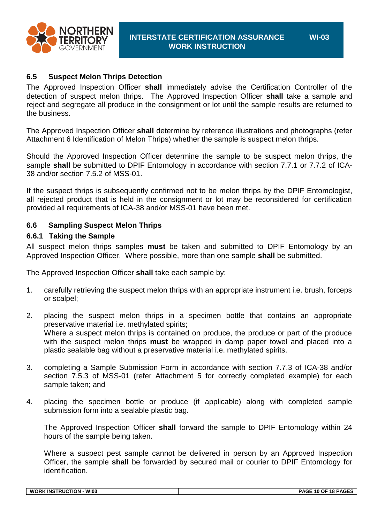

#### **6.5 Suspect Melon Thrips Detection**

The Approved Inspection Officer **shall** immediately advise the Certification Controller of the detection of suspect melon thrips. The Approved Inspection Officer **shall** take a sample and reject and segregate all produce in the consignment or lot until the sample results are returned to the business.

The Approved Inspection Officer **shall** determine by reference illustrations and photographs (refer [Attachment 6](#page-16-0) Identification of Melon Thrips) whether the sample is suspect melon thrips.

Should the Approved Inspection Officer determine the sample to be suspect melon thrips, the sample **shall** be submitted to DPIF Entomology in accordance with section 7.7.1 or 7.7.2 of ICA-38 and/or section 7.5.2 of MSS-01.

If the suspect thrips is subsequently confirmed not to be melon thrips by the DPIF Entomologist, all rejected product that is held in the consignment or lot may be reconsidered for certification provided all requirements of ICA-38 and/or MSS-01 have been met.

#### **6.6 Sampling Suspect Melon Thrips**

#### **6.6.1 Taking the Sample**

All suspect melon thrips samples **must** be taken and submitted to DPIF Entomology by an Approved Inspection Officer. Where possible, more than one sample **shall** be submitted.

The Approved Inspection Officer **shall** take each sample by:

- 1. carefully retrieving the suspect melon thrips with an appropriate instrument i.e. brush, forceps or scalpel;
- 2. placing the suspect melon thrips in a specimen bottle that contains an appropriate preservative material i.e. methylated spirits; Where a suspect melon thrips is contained on produce, the produce or part of the produce with the suspect melon thrips **must** be wrapped in damp paper towel and placed into a plastic sealable bag without a preservative material i.e. methylated spirits.
- 3. completing a Sample Submission Form in accordance with section 7.7.3 of ICA-38 and/or section 7.5.3 of MSS-01 (refer [Attachment 5](#page-15-0) for correctly completed example) for each sample taken; and
- 4. placing the specimen bottle or produce (if applicable) along with completed sample submission form into a sealable plastic bag.

The Approved Inspection Officer **shall** forward the sample to DPIF Entomology within 24 hours of the sample being taken.

Where a suspect pest sample cannot be delivered in person by an Approved Inspection Officer, the sample **shall** be forwarded by secured mail or courier to DPIF Entomology for identification.

| <b>WI03</b><br>$-011C$<br>W <sub>C</sub><br>. INS<br>∩RK<br>. ΓΙΟΜ<br>. | $\sim$<br>$\overline{\phantom{a}}$<br>10<br>…ו^י<br>-אפ<br>. JF<br>. . |
|-------------------------------------------------------------------------|------------------------------------------------------------------------|
|                                                                         |                                                                        |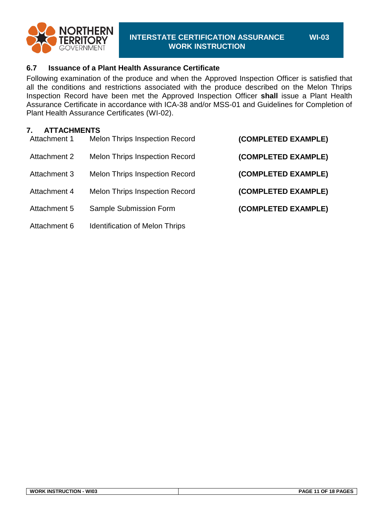

#### **6.7 Issuance of a Plant Health Assurance Certificate**

Following examination of the produce and when the Approved Inspection Officer is satisfied that all the conditions and restrictions associated with the produce described on the Melon Thrips Inspection Record have been met the Approved Inspection Officer **shall** issue a Plant Health Assurance Certificate in accordance with ICA-38 and/or MSS-01 and Guidelines for Completion of Plant Health Assurance Certificates (WI-02).

#### **7. ATTACHMENTS**

| (COMPLETED EXAMPLE) | <b>Melon Thrips Inspection Record</b> | Attachment 1 |
|---------------------|---------------------------------------|--------------|
| (COMPLETED EXAMPLE) | <b>Melon Thrips Inspection Record</b> | Attachment 2 |
| (COMPLETED EXAMPLE) | <b>Melon Thrips Inspection Record</b> | Attachment 3 |
| (COMPLETED EXAMPLE) | <b>Melon Thrips Inspection Record</b> | Attachment 4 |
| (COMPLETED EXAMPLE) | Sample Submission Form                | Attachment 5 |
|                     | <b>Identification of Melon Thrips</b> | Attachment 6 |

**WI-03**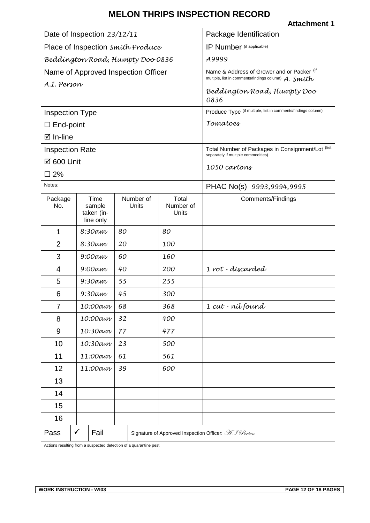<span id="page-11-0"></span>

| Date of Inspection 23/12/11       |                                                                             |                                     | Package Identification      |                                                                                                        |  |
|-----------------------------------|-----------------------------------------------------------------------------|-------------------------------------|-----------------------------|--------------------------------------------------------------------------------------------------------|--|
| Place of Inspection Smith Produce |                                                                             |                                     | IP Number (if applicable)   |                                                                                                        |  |
| Beddington Road, Humpty Doo 0836  |                                                                             |                                     | A9999                       |                                                                                                        |  |
|                                   |                                                                             | Name of Approved Inspection Officer |                             | Name & Address of Grower and or Packer (if<br>multiple, list in comments/findings column) $A.$ $Smith$ |  |
| A.I. Person                       |                                                                             |                                     |                             | Beddington Road, Humpty Doo<br>0836                                                                    |  |
| <b>Inspection Type</b>            |                                                                             |                                     |                             | Produce Type (if multiple, list in comments/findings column)                                           |  |
| $\Box$ End-point                  |                                                                             |                                     |                             | Tomatoes                                                                                               |  |
| ⊠ In-line                         |                                                                             |                                     |                             |                                                                                                        |  |
| <b>Inspection Rate</b>            |                                                                             |                                     |                             | Total Number of Packages in Consignment/Lot (list<br>separately if multiple commodities)               |  |
| ☑ 600 Unit                        |                                                                             |                                     |                             | 1050 cartons                                                                                           |  |
| $\square$ 2%                      |                                                                             |                                     |                             |                                                                                                        |  |
| Notes:                            |                                                                             |                                     |                             | PHAC No(s) 9993,9994,9995                                                                              |  |
| Package<br>No.                    | Time<br>sample<br>taken (in-<br>line only                                   | Number of<br>Units                  | Total<br>Number of<br>Units | <b>Comments/Findings</b>                                                                               |  |
| $\mathbf 1$                       | 8:30am                                                                      | 80                                  | 80                          |                                                                                                        |  |
| $\overline{2}$                    | 8:30am                                                                      | 20                                  | 100                         |                                                                                                        |  |
| 3                                 | $9:00$ am                                                                   | 60                                  | 160                         |                                                                                                        |  |
| 4                                 | $9:00$ am                                                                   | 40                                  | 200                         | 1 rot - discarded                                                                                      |  |
| 5                                 | $9:30$ am                                                                   | 55                                  | 255                         |                                                                                                        |  |
| 6                                 | $9:30$ am                                                                   | 45                                  | 300                         |                                                                                                        |  |
| 7                                 | 10:00am                                                                     | 68                                  | 368                         | 1 cut - níl found                                                                                      |  |
| 8                                 | 10:00am                                                                     | 32                                  | 400                         |                                                                                                        |  |
| 9                                 | 10:30am                                                                     | 77                                  | 477                         |                                                                                                        |  |
| 10                                | 10:30am                                                                     | 23                                  | 500                         |                                                                                                        |  |
| 11                                | 11:00am                                                                     | 61                                  | 561                         |                                                                                                        |  |
| 12                                | 11:00am                                                                     | 39                                  | 600                         |                                                                                                        |  |
| 13                                |                                                                             |                                     |                             |                                                                                                        |  |
| 14                                |                                                                             |                                     |                             |                                                                                                        |  |
| 15                                |                                                                             |                                     |                             |                                                                                                        |  |
| 16                                |                                                                             |                                     |                             |                                                                                                        |  |
| Pass                              | $\checkmark$<br>Fail<br>Signature of Approved Inspection Officer: AJ Person |                                     |                             |                                                                                                        |  |
|                                   | Actions resulting from a suspected detection of a quarantine pest           |                                     |                             |                                                                                                        |  |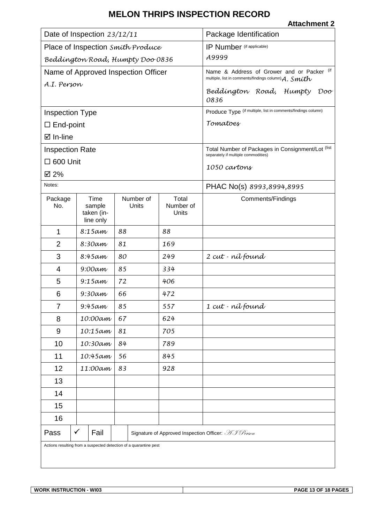<span id="page-12-0"></span>

| Date of Inspection 23/12/11                                                         |                                           |                    | Package Identification                                                                             |                                                                                          |
|-------------------------------------------------------------------------------------|-------------------------------------------|--------------------|----------------------------------------------------------------------------------------------------|------------------------------------------------------------------------------------------|
| Place of Inspection Smith Produce                                                   |                                           |                    | IP Number (if applicable)                                                                          |                                                                                          |
| Beddington Road, Humpty Doo 0836                                                    |                                           |                    | A9999                                                                                              |                                                                                          |
| Name of Approved Inspection Officer                                                 |                                           |                    | Name & Address of Grower and or Packer (if<br>multiple, list in comments/findings column) A. Smith |                                                                                          |
| A.I. Person                                                                         |                                           |                    |                                                                                                    | Beddington Road, Humpty<br>Dov<br>0836                                                   |
| <b>Inspection Type</b>                                                              |                                           |                    |                                                                                                    | Produce Type (if multiple, list in comments/findings column)                             |
| $\square$ End-point                                                                 |                                           |                    |                                                                                                    | Tomatoes                                                                                 |
| $\boxtimes$ In-line                                                                 |                                           |                    |                                                                                                    |                                                                                          |
| <b>Inspection Rate</b>                                                              |                                           |                    |                                                                                                    | Total Number of Packages in Consignment/Lot (list<br>separately if multiple commodities) |
| $\square$ 600 Unit                                                                  |                                           |                    |                                                                                                    |                                                                                          |
| ☑ 2%                                                                                |                                           |                    |                                                                                                    | 1050 cartons                                                                             |
| Notes:                                                                              |                                           |                    |                                                                                                    | PHAC No(s) 8993,8994,8995                                                                |
| Package<br>No.                                                                      | Time<br>sample<br>taken (in-<br>line only | Number of<br>Units | Total<br>Number of<br>Units                                                                        | Comments/Findings                                                                        |
| 1                                                                                   | 8:15am                                    | 88                 | 88                                                                                                 |                                                                                          |
| $\overline{2}$                                                                      | 8:30am                                    | 81                 | 169                                                                                                |                                                                                          |
| 3                                                                                   | 8:45am                                    | 80                 | 249                                                                                                | 2 cut - nílfound                                                                         |
| 4                                                                                   | $9:00$ am                                 | 85                 | 334                                                                                                |                                                                                          |
| 5                                                                                   | 9:15am                                    | 72                 | 406                                                                                                |                                                                                          |
| 6                                                                                   | $9:30$ am                                 | 66                 | 472                                                                                                |                                                                                          |
| $\overline{7}$                                                                      | 9:45am                                    | 85                 | 557                                                                                                | 1 cut - níl found                                                                        |
| 8                                                                                   | 10:00am                                   | 67                 | 624                                                                                                |                                                                                          |
| 9                                                                                   | 10:15am                                   | 81                 | 705                                                                                                |                                                                                          |
| 10                                                                                  | 10:30am                                   | 84                 | 789                                                                                                |                                                                                          |
| 11                                                                                  | 10:45am                                   | 56                 | 845                                                                                                |                                                                                          |
| 12                                                                                  | 11:00am                                   | 83                 | 928                                                                                                |                                                                                          |
| 13                                                                                  |                                           |                    |                                                                                                    |                                                                                          |
| 14                                                                                  |                                           |                    |                                                                                                    |                                                                                          |
| 15                                                                                  |                                           |                    |                                                                                                    |                                                                                          |
| 16                                                                                  |                                           |                    |                                                                                                    |                                                                                          |
| $\checkmark$<br>Signature of Approved Inspection Officer: AJ Person<br>Fail<br>Pass |                                           |                    |                                                                                                    |                                                                                          |
| Actions resulting from a suspected detection of a quarantine pest                   |                                           |                    |                                                                                                    |                                                                                          |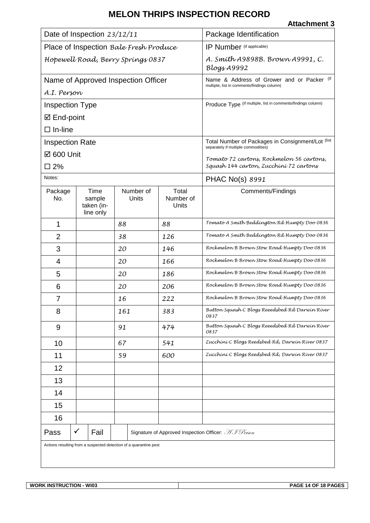<span id="page-13-0"></span>

| Date of Inspection 23/12/11            |                                                                             |                                     | Package Identification      |                                                                                              |  |
|----------------------------------------|-----------------------------------------------------------------------------|-------------------------------------|-----------------------------|----------------------------------------------------------------------------------------------|--|
| Place of Inspection Bale Fresh Produce |                                                                             |                                     | IP Number (if applicable)   |                                                                                              |  |
| Hopewell Road, Berry Springs 0837      |                                                                             |                                     |                             | A. Smith A9898B. Brown A9991, C.<br>$Blogx$ A9992                                            |  |
|                                        |                                                                             | Name of Approved Inspection Officer |                             | (if<br>Name & Address of Grower and or Packer<br>multiple, list in comments/findings column) |  |
| A.I. Person                            |                                                                             |                                     |                             |                                                                                              |  |
| <b>Inspection Type</b>                 |                                                                             |                                     |                             | Produce Type (if multiple, list in comments/findings column)                                 |  |
| ☑ End-point                            |                                                                             |                                     |                             |                                                                                              |  |
| $\Box$ In-line                         |                                                                             |                                     |                             |                                                                                              |  |
| <b>Inspection Rate</b>                 |                                                                             |                                     |                             | Total Number of Packages in Consignment/Lot (list<br>separately if multiple commodities)     |  |
| ☑ 600 Unit                             |                                                                             |                                     |                             | Tomato 72 cartons, Rockmelon 56 cartons,                                                     |  |
| $\square$ 2%<br>Notes:                 |                                                                             |                                     |                             | Squash 144 carton, Zucchini 72 cartons                                                       |  |
|                                        |                                                                             |                                     |                             | <b>PHAC No(s) 8991</b>                                                                       |  |
| Package<br>No.                         | Time<br>sample<br>taken (in-<br>line only                                   | Number of<br>Units                  | Total<br>Number of<br>Units | <b>Comments/Findings</b>                                                                     |  |
| 1                                      |                                                                             | 88                                  | 88                          | Tomato A Smith Beddington Rd Humpty Doo 0836                                                 |  |
| $\overline{2}$                         |                                                                             | 38                                  | 126                         | Tomato A Smith Beddington Rd Humpty Doo 0836                                                 |  |
| 3                                      |                                                                             | 20                                  | 146                         | Rockmelon B Brown Stow Road Humpty Doo 0836                                                  |  |
| 4                                      |                                                                             | 20                                  | 166                         | Rockmelon B Brown Stow Road Humpty Doo 0836                                                  |  |
| 5                                      |                                                                             | 20                                  | 186                         | Rockmelon B Brown Stow Road Humpty Doo 0836                                                  |  |
| 6                                      |                                                                             | 20                                  | 206                         | Rockmelon B Brown Stow Road Humpty Doo 0836                                                  |  |
| 7                                      |                                                                             | 16                                  | 222                         | Rockmelon B Brown Stow Road Humpty Doo 0836                                                  |  |
| 8                                      |                                                                             | 161                                 | 383                         | Button Squash C Blogs Reeedsbed Rd Darwin River<br>0837                                      |  |
| 9                                      |                                                                             | 91                                  | 474                         | Button Squash C Blogs Reeedsbed Rd Darwin River<br>0837                                      |  |
| 10                                     |                                                                             | 67                                  | 541                         | Zucchíní C Blogs Reedsbed Rd, Darwin River 0837                                              |  |
| 11                                     |                                                                             | 59                                  | 600                         | Zucchini C Blogs Reedsbed Rd, Darwin River 0837                                              |  |
| 12                                     |                                                                             |                                     |                             |                                                                                              |  |
| 13                                     |                                                                             |                                     |                             |                                                                                              |  |
| 14                                     |                                                                             |                                     |                             |                                                                                              |  |
| 15                                     |                                                                             |                                     |                             |                                                                                              |  |
| 16                                     |                                                                             |                                     |                             |                                                                                              |  |
| Pass                                   | $\checkmark$<br>Fail<br>Signature of Approved Inspection Officer: AJ Person |                                     |                             |                                                                                              |  |
|                                        | Actions resulting from a suspected detection of a quarantine pest           |                                     |                             |                                                                                              |  |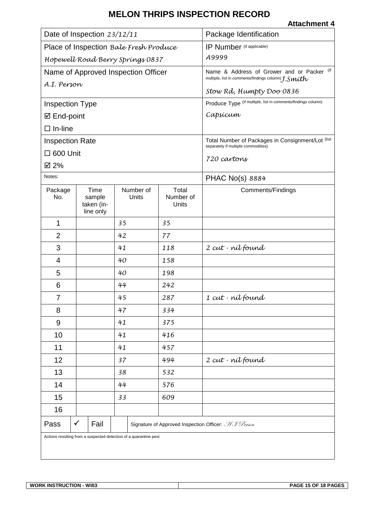|                                                                   | Date of Inspection 23/12/11               |                                        | Package Identification                                                                              |                                                     |  |  |  |
|-------------------------------------------------------------------|-------------------------------------------|----------------------------------------|-----------------------------------------------------------------------------------------------------|-----------------------------------------------------|--|--|--|
|                                                                   |                                           | Place of Inspection Bale Fresh Produce | IP Number (if applicable)                                                                           |                                                     |  |  |  |
|                                                                   |                                           | Hopewell Road Berry Springs 0837       | A9999                                                                                               |                                                     |  |  |  |
|                                                                   |                                           | Name of Approved Inspection Officer    | Name & Address of Grower and or Packer (if<br>multiple, list in comments/findings column) $J.Smith$ |                                                     |  |  |  |
| A.I. Person                                                       |                                           |                                        | Stow Rd, Humpty Doo 0836                                                                            |                                                     |  |  |  |
| <b>Inspection Type</b>                                            |                                           |                                        | Produce Type (if multiple, list in comments/findings column)                                        |                                                     |  |  |  |
| ☑ End-point                                                       |                                           |                                        | Capsicum                                                                                            |                                                     |  |  |  |
| $\Box$ In-line                                                    |                                           |                                        |                                                                                                     |                                                     |  |  |  |
| <b>Inspection Rate</b>                                            |                                           |                                        | Total Number of Packages in Consignment/Lot (list                                                   |                                                     |  |  |  |
| $\Box$ 600 Unit                                                   |                                           |                                        | separately if multiple commodities)                                                                 |                                                     |  |  |  |
| ☑ 2%                                                              |                                           |                                        | 720 cavtons                                                                                         |                                                     |  |  |  |
| Notes:                                                            |                                           |                                        | <b>PHAC No(s) 8884</b>                                                                              |                                                     |  |  |  |
| Package<br>No.                                                    | Time<br>sample<br>taken (in-<br>line only | Number of<br>Units                     | Total<br>Number of<br>Units                                                                         | Comments/Findings                                   |  |  |  |
| 1                                                                 |                                           | 35                                     | 35                                                                                                  |                                                     |  |  |  |
| $\overline{2}$                                                    |                                           | 42                                     | 77                                                                                                  |                                                     |  |  |  |
| 3                                                                 |                                           | 41                                     | 118                                                                                                 | 2 cut - nílfound                                    |  |  |  |
| 4                                                                 |                                           | 40                                     | 158                                                                                                 |                                                     |  |  |  |
| 5                                                                 |                                           | 40                                     | 198                                                                                                 |                                                     |  |  |  |
| 6                                                                 |                                           | 44                                     | 242                                                                                                 |                                                     |  |  |  |
| $\overline{7}$                                                    |                                           | 45                                     | 287                                                                                                 | 1 cut - níl found                                   |  |  |  |
| 8                                                                 |                                           | 47                                     | 334                                                                                                 |                                                     |  |  |  |
| 9                                                                 |                                           | 41                                     | 375                                                                                                 |                                                     |  |  |  |
| 10                                                                | 41<br>416                                 |                                        |                                                                                                     |                                                     |  |  |  |
| 11                                                                |                                           | 41<br>457                              |                                                                                                     |                                                     |  |  |  |
| 12                                                                |                                           | 37                                     | 494                                                                                                 | 2 cut - nílfound                                    |  |  |  |
| 13                                                                |                                           | 38                                     | 532                                                                                                 |                                                     |  |  |  |
| 14                                                                |                                           | 44                                     | 576                                                                                                 |                                                     |  |  |  |
| 15                                                                |                                           | 33                                     | 609                                                                                                 |                                                     |  |  |  |
| 16                                                                |                                           |                                        |                                                                                                     |                                                     |  |  |  |
| Pass                                                              | $\checkmark$<br>Fail                      |                                        |                                                                                                     | Signature of Approved Inspection Officer: AJ Person |  |  |  |
| Actions resulting from a suspected detection of a quarantine pest |                                           |                                        |                                                                                                     |                                                     |  |  |  |
|                                                                   |                                           |                                        |                                                                                                     |                                                     |  |  |  |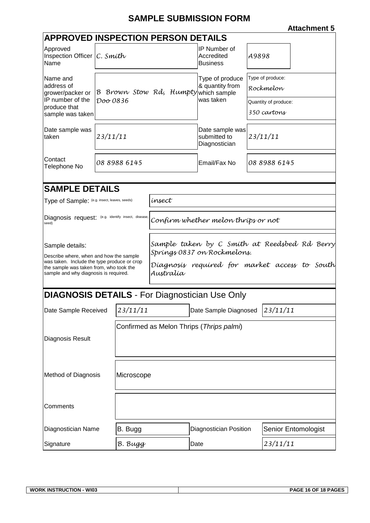## **SAMPLE SUBMISSION FORM**

<span id="page-15-0"></span>

| <b>APPROVED INSPECTION PERSON DETAILS</b>                                                                                                                                                     |                                     |                                          |                                                                                                                                           |                                                  |                      |  |  |  |  |
|-----------------------------------------------------------------------------------------------------------------------------------------------------------------------------------------------|-------------------------------------|------------------------------------------|-------------------------------------------------------------------------------------------------------------------------------------------|--------------------------------------------------|----------------------|--|--|--|--|
| Approved<br>Inspection Officer $ C. \text{ Smith} $<br>Name                                                                                                                                   |                                     |                                          |                                                                                                                                           | IP Number of<br>Accredited<br><b>Business</b>    | A9898                |  |  |  |  |
| Name and                                                                                                                                                                                      |                                     |                                          |                                                                                                                                           | Type of produce                                  | Type of produce:     |  |  |  |  |
| address of<br>grower/packer or                                                                                                                                                                | B Brown Stow Rd, Humptywhich sample |                                          |                                                                                                                                           | & quantity from                                  | Rockmelon            |  |  |  |  |
| IP number of the<br>produce that                                                                                                                                                              | Doo 0836                            |                                          |                                                                                                                                           | was taken                                        | Quantity of produce: |  |  |  |  |
| sample was taken                                                                                                                                                                              |                                     |                                          |                                                                                                                                           |                                                  | 350 cartons          |  |  |  |  |
| Date sample was<br>23/11/11<br>taken                                                                                                                                                          |                                     |                                          |                                                                                                                                           | Date sample was<br>submitted to<br>Diagnostician | 23/11/11             |  |  |  |  |
| Contact<br>Telephone No                                                                                                                                                                       |                                     | 08 8988 6145                             |                                                                                                                                           | Email/Fax No                                     | 08 8988 6145         |  |  |  |  |
|                                                                                                                                                                                               |                                     |                                          |                                                                                                                                           |                                                  |                      |  |  |  |  |
| <b>SAMPLE DETAILS</b>                                                                                                                                                                         |                                     |                                          |                                                                                                                                           |                                                  |                      |  |  |  |  |
| Type of Sample: (e.g. insect, leaves, seeds)                                                                                                                                                  |                                     |                                          | ínsect                                                                                                                                    |                                                  |                      |  |  |  |  |
| Diagnosis request: (e.g. identify insect, disease,<br>seed)                                                                                                                                   |                                     |                                          | Confírm whether melon thríps or not                                                                                                       |                                                  |                      |  |  |  |  |
| Sample details:<br>Describe where, when and how the sample<br>was taken. Include the type produce or crop<br>the sample was taken from, who took the<br>sample and why diagnosis is required. |                                     |                                          | Sample taken by C Smith at Reedsbed Rd Berry<br>Springs 0837 on Rockmelons.<br>Diagnosis required for market access to South<br>Australía |                                                  |                      |  |  |  |  |
| <b>DIAGNOSIS DETAILS - For Diagnostician Use Only</b>                                                                                                                                         |                                     |                                          |                                                                                                                                           |                                                  |                      |  |  |  |  |
| Date Sample Received 23/11/11                                                                                                                                                                 |                                     |                                          |                                                                                                                                           | Date Sample Diagnosed 23/11/11                   |                      |  |  |  |  |
|                                                                                                                                                                                               |                                     | Confirmed as Melon Thrips (Thrips palmi) |                                                                                                                                           |                                                  |                      |  |  |  |  |
| Diagnosis Result                                                                                                                                                                              |                                     |                                          |                                                                                                                                           |                                                  |                      |  |  |  |  |
| <b>Method of Diagnosis</b>                                                                                                                                                                    |                                     | Microscope                               |                                                                                                                                           |                                                  |                      |  |  |  |  |
| Comments                                                                                                                                                                                      |                                     |                                          |                                                                                                                                           |                                                  |                      |  |  |  |  |
| Diagnostician Name                                                                                                                                                                            |                                     | B. Bugg                                  |                                                                                                                                           | <b>Diagnostician Position</b>                    | Senior Entomologist  |  |  |  |  |
| Signature                                                                                                                                                                                     |                                     | B. Bugg                                  |                                                                                                                                           | Date                                             | 23/11/11             |  |  |  |  |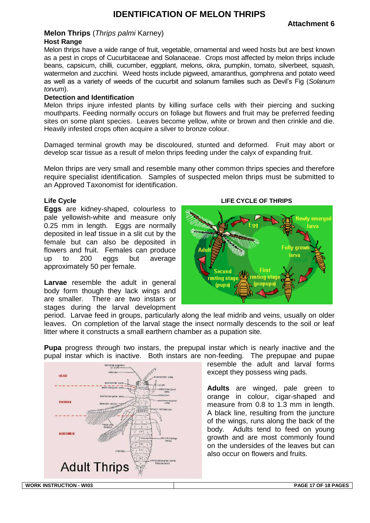## **IDENTIFICATION OF MELON THRIPS**

#### <span id="page-16-0"></span>**Melon Thrips** (*Thrips palmi* Karney) **Host Range**

Melon thrips have a wide range of fruit, vegetable, ornamental and weed hosts but are best known as a pest in crops of Cucurbitaceae and Solanaceae. Crops most affected by melon thrips include beans, capsicum, chilli, cucumber, eggplant, melons, okra, pumpkin, tomato, silverbeet, squash, watermelon and zucchini. Weed hosts include pigweed, amaranthus, gomphrena and potato weed as well as a variety of weeds of the cucurbit and solanum families such as Devil's Fig (*Solanum torvum*).

#### **Detection and Identification**

Melon thrips injure infested plants by killing surface cells with their piercing and sucking mouthparts. Feeding normally occurs on foliage but flowers and fruit may be preferred feeding sites on some plant species. Leaves become yellow, white or brown and then crinkle and die. Heavily infested crops often acquire a silver to bronze colour.

Damaged terminal growth may be discoloured, stunted and deformed. Fruit may abort or develop scar tissue as a result of melon thrips feeding under the calyx of expanding fruit.

Melon thrips are very small and resemble many other common thrips species and therefore require specialist identification. Samples of suspected melon thrips must be submitted to an Approved Taxonomist for identification.

#### **Life Cycle**

**Eggs** are kidney-shaped, colourless to pale yellowish-white and measure only 0.25 mm in length. Eggs are normally deposited in leaf tissue in a slit cut by the female but can also be deposited in flowers and fruit. Females can produce up to 200 eggs but average approximately 50 per female.

**Larvae** resemble the adult in general body form though they lack wings and are smaller. There are two instars or stages during the larval development



period. Larvae feed in groups, particularly along the leaf midrib and veins, usually on older leaves. On completion of the larval stage the insect normally descends to the soil or leaf litter where it constructs a small earthern chamber as a pupation site.

**Pupa** progress through two instars, the prepupal instar which is nearly inactive and the pupal instar which is inactive. Both instars are non-feeding. The prepupae and pupae



resemble the adult and larval forms except they possess wing pads.

**Adults** are winged, pale green to orange in colour, cigar-shaped and measure from 0.8 to 1.3 mm in length. A black line, resulting from the juncture of the wings, runs along the back of the body. Adults tend to feed on young growth and are most commonly found on the undersides of the leaves but can also occur on flowers and fruits.

**WORK INSTRUCTION - WI03 PAGE 17 OF 18 PAGES**